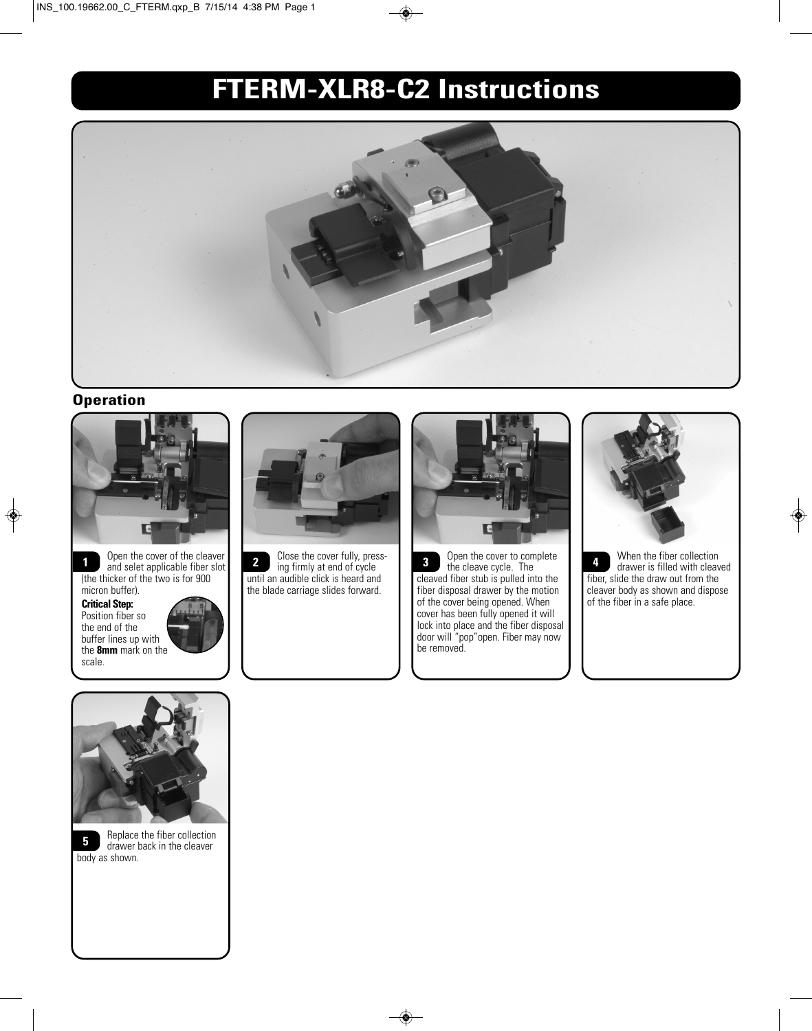# **FTERM-XLR8-C2 Instructions**



### **Operation**





**Critical Step:** Position fiber so the end of the buffer lines up with the **8mm** mark on the scale.





ing firmly at end of cycle until an audible click is heard and the blade carriage slides forward. **2**



**3** Open the cover to complete **1** When the fiber collection the cleave cycle The **Contract Contract Contract Contract** the clear the clear of the clear that the clear that the clear that the clear that the clear that the the cleave cycle. The cleaved fiber stub is pulled into the fiber disposal drawer by the motion of the cover being opened. When cover has been fully opened it will lock into place and the fiber disposal door will "pop"open. Fiber may now be removed. **1** Open the cover of the cleaver **1** Close the cover fully, press-<br> **1** and selet applicable fiber slot **1** in figure in the cleave cycle The cleave Cycle **1 4** 



drawer is filled with cleaved fiber, slide the draw out from the cleaver body as shown and dispose of the fiber in a safe place.





Replace the fiber collection drawer back in the cleaver body as shown.